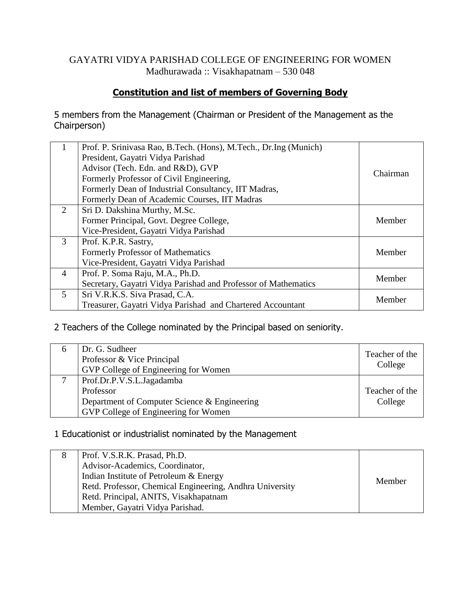#### GAYATRI VIDYA PARISHAD COLLEGE OF ENGINEERING FOR WOMEN Madhurawada :: Visakhapatnam – 530 048

### **Constitution and list of members of Governing Body**

5 members from the Management (Chairman or President of the Management as the Chairperson)

|                | Prof. P. Srinivasa Rao, B. Tech. (Hons), M. Tech., Dr. Ing (Munich)<br>President, Gayatri Vidya Parishad |          |
|----------------|----------------------------------------------------------------------------------------------------------|----------|
|                | Advisor (Tech. Edn. and R&D), GVP                                                                        | Chairman |
|                | Formerly Professor of Civil Engineering,                                                                 |          |
|                | Formerly Dean of Industrial Consultancy, IIT Madras,                                                     |          |
|                | Formerly Dean of Academic Courses, IIT Madras                                                            |          |
| $\overline{2}$ | Sri D. Dakshina Murthy, M.Sc.                                                                            |          |
|                | Former Principal, Govt. Degree College,                                                                  | Member   |
|                | Vice-President, Gayatri Vidya Parishad                                                                   |          |
| 3              | Prof. K.P.R. Sastry,                                                                                     |          |
|                | <b>Formerly Professor of Mathematics</b>                                                                 | Member   |
|                | Vice-President, Gayatri Vidya Parishad                                                                   |          |
| $\overline{4}$ | Prof. P. Soma Raju, M.A., Ph.D.                                                                          | Member   |
|                | Secretary, Gayatri Vidya Parishad and Professor of Mathematics                                           |          |
| $5^{\circ}$    | Sri V.R.K.S. Siva Prasad, C.A.                                                                           | Member   |
|                | Treasurer, Gayatri Vidya Parishad and Chartered Accountant                                               |          |

#### 2 Teachers of the College nominated by the Principal based on seniority.

| Dr. G. Sudheer<br>Professor & Vice Principal<br>GVP College of Engineering for Women | Teacher of the<br>College |
|--------------------------------------------------------------------------------------|---------------------------|
| Prof.Dr.P.V.S.L.Jagadamba                                                            |                           |
| Professor                                                                            | Teacher of the            |
| Department of Computer Science & Engineering                                         | College                   |
| GVP College of Engineering for Women                                                 |                           |

#### 1 Educationist or industrialist nominated by the Management

| Prof. V.S.R.K. Prasad, Ph.D.                             |        |
|----------------------------------------------------------|--------|
| Advisor-Academics, Coordinator,                          |        |
| Indian Institute of Petroleum & Energy                   | Member |
| Retd. Professor, Chemical Engineering, Andhra University |        |
| Retd. Principal, ANITS, Visakhapatnam                    |        |
| Member, Gayatri Vidya Parishad.                          |        |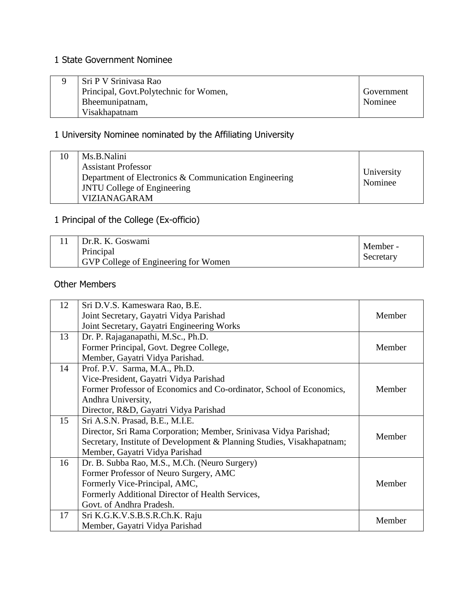## 1 State Government Nominee

| Sri P V Srinivasa Rao                  |            |
|----------------------------------------|------------|
| Principal, Govt.Polytechnic for Women, | Government |
| Bheemunipatnam,                        | Nominee    |
| Visakhapatnam                          |            |

# 1 University Nominee nominated by the Affiliating University

|  | Ms.B.Nalini<br><b>Assistant Professor</b><br>Department of Electronics & Communication Engineering<br><b>JNTU College of Engineering</b><br><b>VIZIANAGARAM</b> | University<br>Nominee |
|--|-----------------------------------------------------------------------------------------------------------------------------------------------------------------|-----------------------|
|--|-----------------------------------------------------------------------------------------------------------------------------------------------------------------|-----------------------|

# 1 Principal of the College (Ex-officio)

| Dr.R. K. Goswami                     | Member -  |
|--------------------------------------|-----------|
| Principal                            |           |
| GVP College of Engineering for Women | Secretary |

## Other Members

| 12 | Sri D.V.S. Kameswara Rao, B.E.                                         |        |
|----|------------------------------------------------------------------------|--------|
|    | Joint Secretary, Gayatri Vidya Parishad                                | Member |
|    | Joint Secretary, Gayatri Engineering Works                             |        |
| 13 | Dr. P. Rajaganapathi, M.Sc., Ph.D.                                     |        |
|    | Former Principal, Govt. Degree College,                                | Member |
|    | Member, Gayatri Vidya Parishad.                                        |        |
| 14 | Prof. P.V. Sarma, M.A., Ph.D.                                          |        |
|    | Vice-President, Gayatri Vidya Parishad                                 |        |
|    | Former Professor of Economics and Co-ordinator, School of Economics,   | Member |
|    | Andhra University,                                                     |        |
|    | Director, R&D, Gayatri Vidya Parishad                                  |        |
| 15 | Sri A.S.N. Prasad, B.E., M.I.E.                                        |        |
|    | Director, Sri Rama Corporation; Member, Srinivasa Vidya Parishad;      |        |
|    | Secretary, Institute of Development & Planning Studies, Visakhapatnam; | Member |
|    | Member, Gayatri Vidya Parishad                                         |        |
| 16 | Dr. B. Subba Rao, M.S., M.Ch. (Neuro Surgery)                          |        |
|    | Former Professor of Neuro Surgery, AMC                                 |        |
|    | Formerly Vice-Principal, AMC,                                          | Member |
|    | Formerly Additional Director of Health Services,                       |        |
|    | Govt. of Andhra Pradesh.                                               |        |
| 17 | Sri K.G.K.V.S.B.S.R.Ch.K. Raju                                         |        |
|    | Member, Gayatri Vidya Parishad                                         | Member |